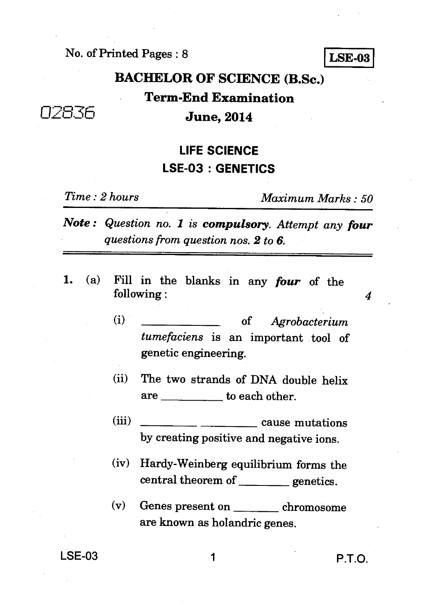No. of Printed Pages : 8 **LSE-03** 

# **BACHELOR OF SCIENCE (B.Sc.) Term-End Examination**  02836 **June, 2014**

# **LIFE SCIENCE LSE-03 : GENETICS**

*Time : 2 hours Maximum Marks : 50* 

*Note : Question no. 1 is compulsory. Attempt any four questions from question nos. 2 to 6.* 

- **1.** (a) Fill in the blanks in any *four* of the following : 4
	- (i) of *Agrobacterium tumefaciens is* an important tool of genetic engineering.
	- (ii) The two strands of DNA double helix are \_\_\_\_\_\_\_\_\_\_\_ to each other.
	- (iii) cause mutations by creating positive and negative ions.
	- (iv) Hardy-Weinberg equilibrium forms the central theorem of genetics.
	- $(v)$  Genes present on <u>containing</u> chromosome are known as holandric genes.

 $LSE-03$  and  $1$  and  $P.T.O.$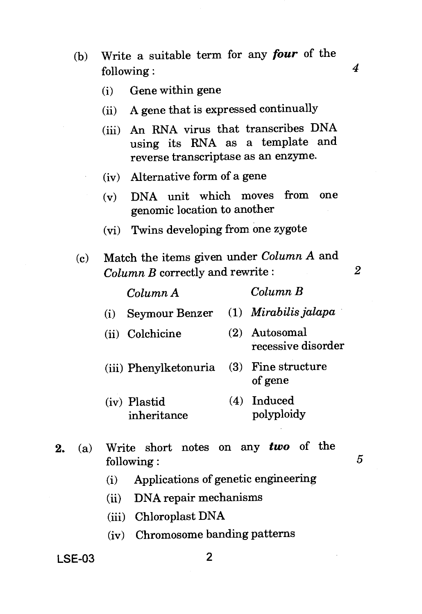- (b) Write a suitable term for any *four* of the following : *4* 
	- (i) Gene within gene
	- (ii) A gene that is expressed continually
	- (iii) An RNA virus that transcribes DNA using its RNA as a template and reverse transcriptase as an enzyme.
	- (iv) Alternative form of a gene
	- (v) DNA unit which moves from one genomic location to another
	- (vi) Twins developing from one zygote
- (c) Match the items given under *Column* A and *Column B* correctly and rewrite : *2*

*Column* A *Column B* 

- (i) Seymour Benzer (1) *Mirabilis jalapa*  (ii) Colchicine (2) Autosomal recessive disorder (iii) Phenylketonuria (3) Fine structure of gene (iv) Plastid (4) Induced<br>inheritance polyploidy inheritance
- **2.** (a) Write short notes on any *two* of the following :

5

- (i) Applications of genetic engineering
- (ii) DNA repair mechanisms
- (iii) Chloroplast DNA
- (iv) Chromosome banding patterns

### **LSE-03 2**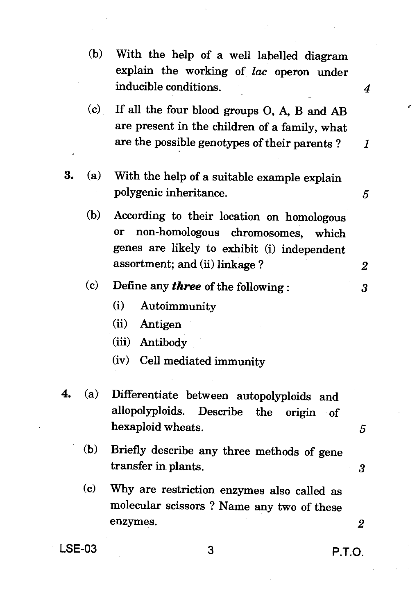(b) With the help of a well labelled diagram explain the working of *lac* operon under inducible conditions. 4 (c) If all the four blood groups 0, A, B and AB are present in the children of a family, what are the possible genotypes of their parents ?  $\boldsymbol{I}$ **3.** (a) With the help of a suitable example explain polygenic inheritance. 5 (b) According to their location on homologous or non-homologous chromosomes, which genes are likely to exhibit (i) independent assortment; and (ii) linkage ? *2*  (c) Define any *three* of the following : 3 (i) Autoimmunity (ii) Antigen (iii) Antibody (iv) Cell mediated immunity **4.** (a) Differentiate between autopolyploids and allopolyploids. Describe the origin of hexaploid wheats. *5*  (b) Briefly describe any three methods of gene transfer in plants. *3*  (c) Why are restriction enzymes also called as molecular scissors ? Name any two of these enzymes. *2*  LSE-03 3 **P.T.O.**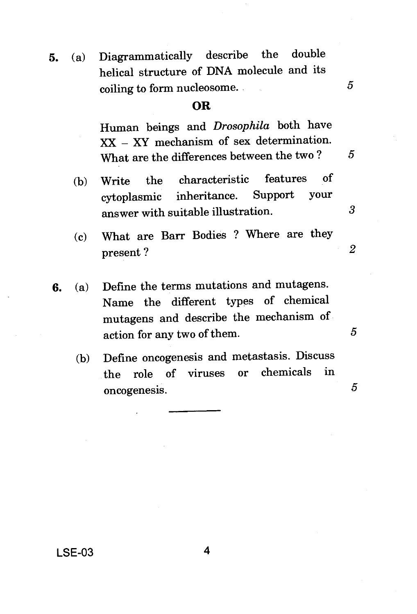**5.** (a) Diagrammatically describe the double helical structure of DNA molecule and its coiling to form nucleosome. 5

#### **OR**

Human beings and *Drosophila* both have XX — XY mechanism of sex determination. What are the differences between the two ?  $5$ 

- (b) Write the characteristic features of cytoplasmic inheritance. Support your answer with suitable illustration.  $\frac{3}{3}$
- (c) What are Barr Bodies ? Where are they present ? *2*
- **6.** (a) Define the terms mutations and mutagens. Name the different types of chemical mutagens and describe the mechanism of action for any two of them.
	- (b) Define oncogenesis and metastasis. Discuss the role of viruses or chemicals in oncogenesis.

5

5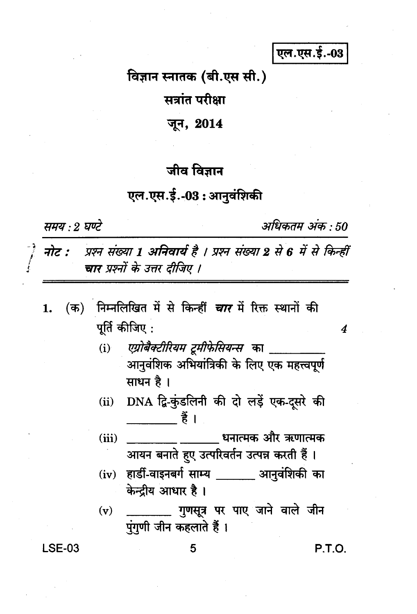एल.एस.ई.-03

# विज्ञान स्नातक (बी.एस सी.)

सत्रांत परीक्षा

### जून, 2014

# जीव विज्ञान

### एल.एस.ई.-03 : आनुवंशिकी

समय : २ घण्टे

अधिकतम अंक : 50

प्रश्न संख्या 1 अनिवार्य है । प्रश्न संख्या 2 से 6 में से किन्हीं नोट : चार प्रश्नों के उत्तर दीजिए ।

- निम्नलिखित में से किन्हीं *चार* में रिक्त स्थानों की (क) 1. पूर्ति कीजिए:
	- एग्रोबैक्टीरियम ट्रमीफेसियन्स का  $(i)$ आनुवंशिक अभियांत्रिकी के लिए एक महत्त्वपूर्ण साधन है ।
	- DNA द्वि-कुंडलिनी की दो लड़ें एक-दसरे की  $(ii)$ हैं ।
	- धनात्मक और ऋणात्मक  $(iii)$ आयन बनाते हुए उत्परिवर्तन उत्पन्न करती हैं ।
	- हार्डी-वाइनबर्ग साम्य \_\_\_\_\_\_ आनुवंशिकी का  $(iv)$ केन्द्रीय आधार है।
	- गुणसूत्र पर पाए जाने वाले जीन  $(v)$ पुंगणी जीन कहलाते हैं।

**LSE-03** 

**P.T.O.** 

 $\boldsymbol{4}$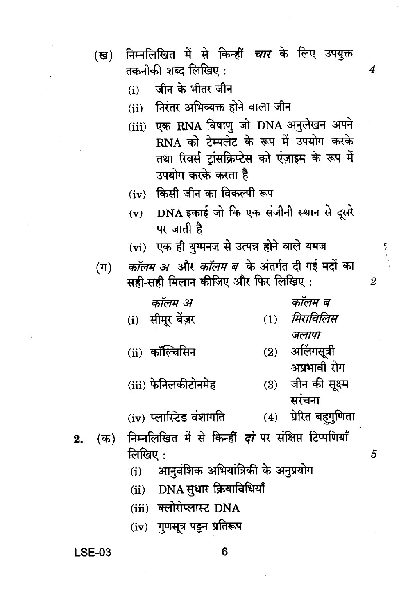|    | (ख)     | निम्नलिखित में से किन्हीं <i>चार</i> के लिए उपयुक्त<br>तकनीकी शब्द लिखिए :                      | 4              |
|----|---------|-------------------------------------------------------------------------------------------------|----------------|
|    |         | जीन के भीतर जीन<br>(i)                                                                          |                |
|    |         | (ii) निरंतर अभिव्यक्त होने वाला जीन<br>(iii) एक RNA विषाणु जो DNA अनुलेखन अपने                  |                |
|    |         | RNA को टेम्पलेट के रूप में उपयोग करके                                                           |                |
|    |         | तथा रिवर्स ट्रांसक्रिप्टेस को एंज़ाइम के रूप में<br>उपयोग करके करता है                          |                |
|    |         | (iv) किसी जीन का विकल्पी रूप                                                                    |                |
|    |         | (v) DNA इकाई जो कि एक संजीनी स्थान से दूसरे<br>पर जाती है                                       |                |
|    |         | (vi) एक ही युग्मनज से उत्पन्न होने वाले यमज                                                     |                |
|    | $(\Pi)$ | <i>कॉलम अ</i> ंऔर <i>कॉलम ब</i> ंके अंतर्गत दी गई मदों का<br>सही-सही मिलान कीजिए और फिर लिखिए : | $\overline{2}$ |
|    |         | कॉलम ब<br>कॉलम अ                                                                                |                |
|    |         | मिराबिलिस<br>(i) सीमूर बेंज़र<br>(1)                                                            |                |
|    |         | जलापा                                                                                           |                |
|    |         | (2) अलिंगसूत्री<br>(ii) कॉल्चिसिन<br>अप्रभावी रोग                                               |                |
|    |         | जीन की सूक्ष्म<br>(iii) फेनिलकीटोनमेह<br>(3)                                                    |                |
|    |         | सरंचना                                                                                          |                |
|    |         | (4) प्रेरित बहुगुणिता<br>(iv) प्लास्टिड वंशागति                                                 |                |
| 2. | (क)     | निम्नलिखित में से किन्हीं को पर संक्षिप्त टिप्पणियाँ                                            |                |
|    |         | लिखिए :                                                                                         | 5              |
|    |         | आनुवंशिक अभियांत्रिकी के अनुप्रयोग<br>(i)                                                       |                |
|    |         | DNA सुधार क्रियाविधियाँ<br>(ii)                                                                 |                |
|    |         | (iii) क्लोरोप्लास्ट DNA                                                                         |                |
|    |         | (iv) गुणसूत्र पट्टन प्रतिरूप                                                                    |                |

 $\sum_{i=1}^{n} \frac{1}{i} \sum_{j=1}^{n} \frac{1}{j} \left( \sum_{j=1}^{n} \frac{1}{j} \right) \left( \sum_{j=1}^{n} \frac{1}{j} \right)$ 

# **LSE-03**

6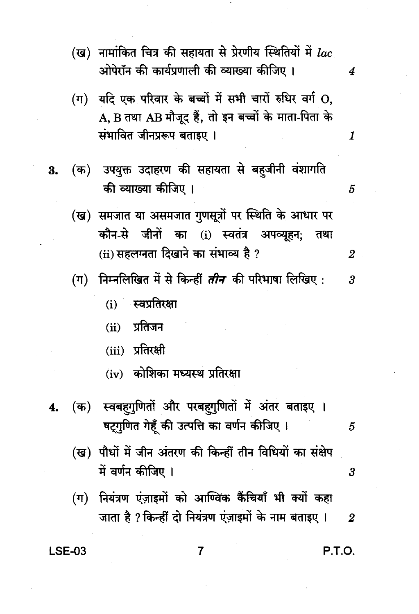|    | (ख) नामांकित चित्र की सहायता से प्रेरणीय स्थितियों में $lac$<br>ओपेरॉन की कार्यप्रणाली की व्याख्या कीजिए ।                                   | 4                       |
|----|----------------------------------------------------------------------------------------------------------------------------------------------|-------------------------|
|    | (ग)  यदि एक परिवार के बच्चों में सभी चारों रुधिर वर्ग O,<br>A, B तथा AB मौजूद हैं, तो इन बच्चों के माता-पिता के<br>संभावित जीनप्ररूप बताइए । | 1                       |
| 3. | (क) उपयुक्त उदाहरण की सहायता से बहुजीनी वंशागति<br>की व्याख्या कीजिए ।                                                                       | 5                       |
|    | (ख)  समजात या असमजात गुणसूत्रों पर स्थिति के आधार पर<br>कौन-से जीनों का (i) स्वतंत्र अपव्यूहन;<br>तथा                                        |                         |
|    | (ii) सहलग्नता दिखाने का संभाव्य है ?                                                                                                         | 2                       |
|    | (ग)  निम्नलिखित में से किन्हीं <i>तीन</i> की परिभाषा लिखिए :                                                                                 | $\overline{\mathbf{3}}$ |
|    | स्वप्रतिरक्षा<br>(i)                                                                                                                         |                         |
|    | (ii) प्रतिजन                                                                                                                                 |                         |
|    | (iii) प्रतिरक्षी                                                                                                                             |                         |
|    | (iv) कोशिका मध्यस्थ प्रतिरक्षा                                                                                                               |                         |
| 4. | (क) स्वबह्गुणितों और परबह्गुणितों में अंतर बताइए ।                                                                                           |                         |
|    | षट्गुणित गेहूँ की उत्पत्ति का वर्णन कीजिए ।                                                                                                  | 5                       |
|    | (ख)  पौधों में जीन अंतरण की किन्हीं तीन विधियों का संक्षेप                                                                                   |                         |
|    | में वर्णन कीजिए ।                                                                                                                            | $\boldsymbol{\beta}$    |
|    | $\langle \pi \rangle$ ਹਿਸ਼ਗਾ एंगला को ਆਰਿਕ कैंनियाँ भी क्यों कुल                                                                             |                         |

(ग) नियंत्रण एज़ाइमों को आण्विक कैचियाँ भी क्यों कहा जाता है ? किन्हीं दो नियंत्रण एंज़ाइमों के नाम बताइए ।  $\overline{2}$ 

 $\overline{7}$ 

**LSE-03** 

P.T.O.